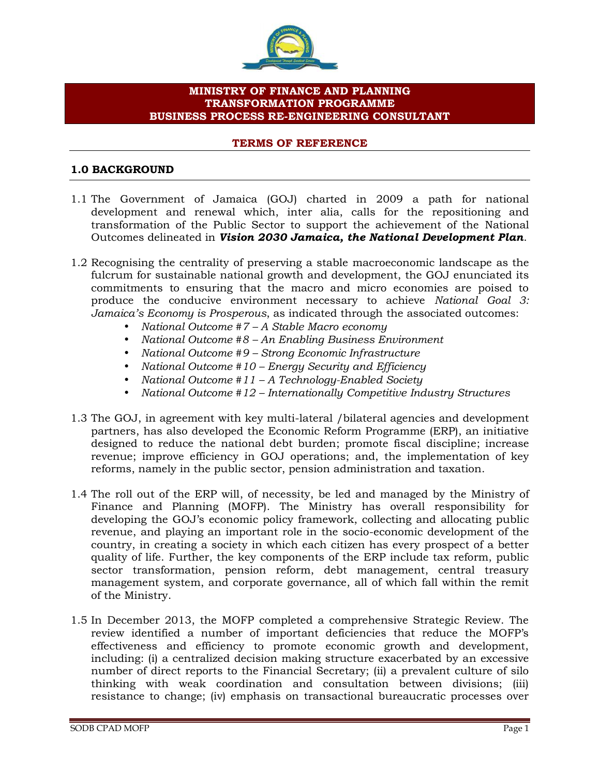

# **MINISTRY OF FINANCE AND PLANNING TRANSFORMATION PROGRAMME BUSINESS PROCESS RE-ENGINEERING CONSULTANT**

#### **TERMS OF REFERENCE**

## **1.0 BACKGROUND**

- 1.1 The Government of Jamaica (GOJ) charted in 2009 a path for national development and renewal which, inter alia, calls for the repositioning and transformation of the Public Sector to support the achievement of the National Outcomes delineated in *Vision 2030 Jamaica, the National Development Plan*.
- 1.2 Recognising the centrality of preserving a stable macroeconomic landscape as the fulcrum for sustainable national growth and development, the GOJ enunciated its commitments to ensuring that the macro and micro economies are poised to produce the conducive environment necessary to achieve *National Goal 3: Jamaica's Economy is Prosperous*, as indicated through the associated outcomes:
	- *National Outcome #7 – A Stable Macro economy*
	- *National Outcome #8 – An Enabling Business Environment*
	- *National Outcome #9 – Strong Economic Infrastructure*
	- *National Outcome #10 – Energy Security and Efficiency*
	- *National Outcome #11 – A Technology-Enabled Society*
	- *National Outcome #12 – Internationally Competitive Industry Structures*
- 1.3 The GOJ, in agreement with key multi-lateral /bilateral agencies and development partners, has also developed the Economic Reform Programme (ERP), an initiative designed to reduce the national debt burden; promote fiscal discipline; increase revenue; improve efficiency in GOJ operations; and, the implementation of key reforms, namely in the public sector, pension administration and taxation.
- 1.4 The roll out of the ERP will, of necessity, be led and managed by the Ministry of Finance and Planning (MOFP). The Ministry has overall responsibility for developing the GOJ's economic policy framework, collecting and allocating public revenue, and playing an important role in the socio-economic development of the country, in creating a society in which each citizen has every prospect of a better quality of life. Further, the key components of the ERP include tax reform, public sector transformation, pension reform, debt management, central treasury management system, and corporate governance, all of which fall within the remit of the Ministry.
- 1.5 In December 2013, the MOFP completed a comprehensive Strategic Review. The review identified a number of important deficiencies that reduce the MOFP's effectiveness and efficiency to promote economic growth and development, including: (i) a centralized decision making structure exacerbated by an excessive number of direct reports to the Financial Secretary; (ii) a prevalent culture of silo thinking with weak coordination and consultation between divisions; (iii) resistance to change; (iv) emphasis on transactional bureaucratic processes over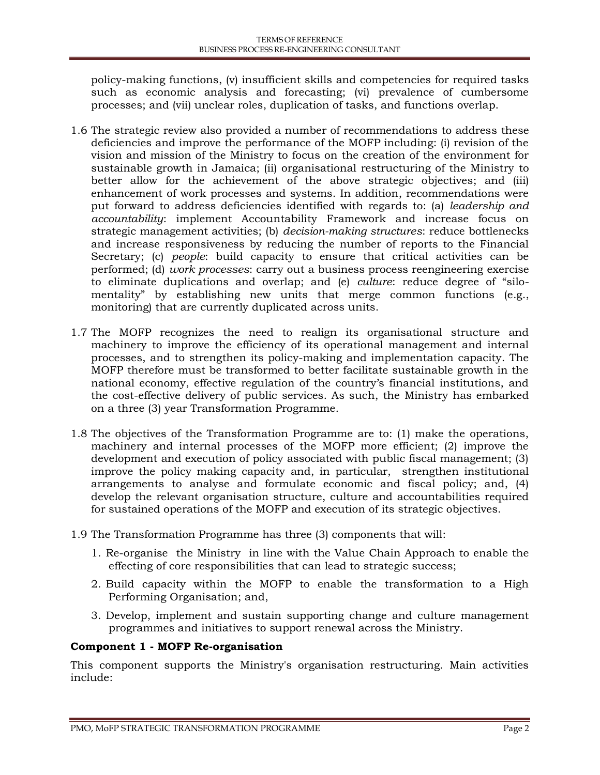policy-making functions, (v) insufficient skills and competencies for required tasks such as economic analysis and forecasting; (vi) prevalence of cumbersome processes; and (vii) unclear roles, duplication of tasks, and functions overlap.

- 1.6 The strategic review also provided a number of recommendations to address these deficiencies and improve the performance of the MOFP including: (i) revision of the vision and mission of the Ministry to focus on the creation of the environment for sustainable growth in Jamaica; (ii) organisational restructuring of the Ministry to better allow for the achievement of the above strategic objectives; and (iii) enhancement of work processes and systems. In addition, recommendations were put forward to address deficiencies identified with regards to: (a) *leadership and accountability*: implement Accountability Framework and increase focus on strategic management activities; (b) *decision-making structures*: reduce bottlenecks and increase responsiveness by reducing the number of reports to the Financial Secretary; (c) *people*: build capacity to ensure that critical activities can be performed; (d) *work processes*: carry out a business process reengineering exercise to eliminate duplications and overlap; and (e) *culture*: reduce degree of "silo mentality" by establishing new units that merge common functions (e.g., monitoring) that are currently duplicated across units.
- 1.7 The MOFP recognizes the need to realign its organisational structure and machinery to improve the efficiency of its operational management and internal processes, and to strengthen its policy-making and implementation capacity. The MOFP therefore must be transformed to better facilitate sustainable growth in the national economy, effective regulation of the country's financial institutions, and the cost-effective delivery of public services. As such, the Ministry has embarked on a three (3) year Transformation Programme.
- 1.8 The objectives of the Transformation Programme are to: (1) make the operations, machinery and internal processes of the MOFP more efficient; (2) improve the development and execution of policy associated with public fiscal management; (3) improve the policy making capacity and, in particular, strengthen institutional arrangements to analyse and formulate economic and fiscal policy; and, (4) develop the relevant organisation structure, culture and accountabilities required for sustained operations of the MOFP and execution of its strategic objectives.
- 1.9 The Transformation Programme has three (3) components that will:
	- 1. Re-organise the Ministry in line with the Value Chain Approach to enable the effecting of core responsibilities that can lead to strategic success;
	- 2. Build capacity within the MOFP to enable the transformation to a High Performing Organisation; and,
	- 3. Develop, implement and sustain supporting change and culture management programmes and initiatives to support renewal across the Ministry.

#### **Component 1 - MOFP Re-organisation**

This component supports the Ministry's organisation restructuring. Main activities include: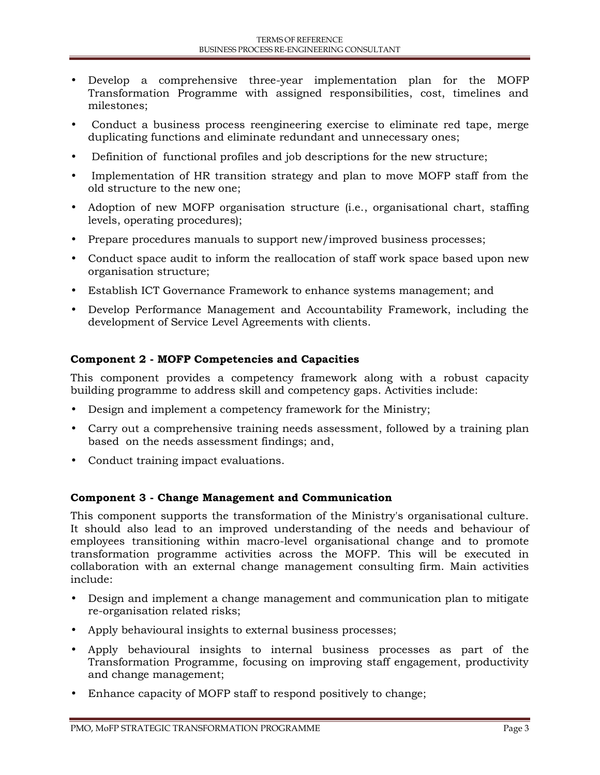- Develop a comprehensive three-year implementation plan for the MOFP Transformation Programme with assigned responsibilities, cost, timelines and milestones;
- Conduct a business process reengineering exercise to eliminate red tape, merge duplicating functions and eliminate redundant and unnecessary ones;
- Definition of functional profiles and job descriptions for the new structure;
- Implementation of HR transition strategy and plan to move MOFP staff from the old structure to the new one;
- Adoption of new MOFP organisation structure (i.e., organisational chart, staffing levels, operating procedures);
- Prepare procedures manuals to support new/improved business processes;
- Conduct space audit to inform the reallocation of staff work space based upon new organisation structure;
- Establish ICT Governance Framework to enhance systems management; and
- Develop Performance Management and Accountability Framework, including the development of Service Level Agreements with clients.

### **Component 2 - MOFP Competencies and Capacities**

This component provides a competency framework along with a robust capacity building programme to address skill and competency gaps. Activities include:

- Design and implement a competency framework for the Ministry;
- Carry out a comprehensive training needs assessment, followed by a training plan based on the needs assessment findings; and,
- Conduct training impact evaluations.

#### **Component 3 - Change Management and Communication**

This component supports the transformation of the Ministry's organisational culture. It should also lead to an improved understanding of the needs and behaviour of employees transitioning within macro-level organisational change and to promote transformation programme activities across the MOFP. This will be executed in collaboration with an external change management consulting firm. Main activities include:

- Design and implement a change management and communication plan to mitigate re-organisation related risks;
- Apply behavioural insights to external business processes;
- Apply behavioural insights to internal business processes as part of the Transformation Programme, focusing on improving staff engagement, productivity and change management;
- Enhance capacity of MOFP staff to respond positively to change;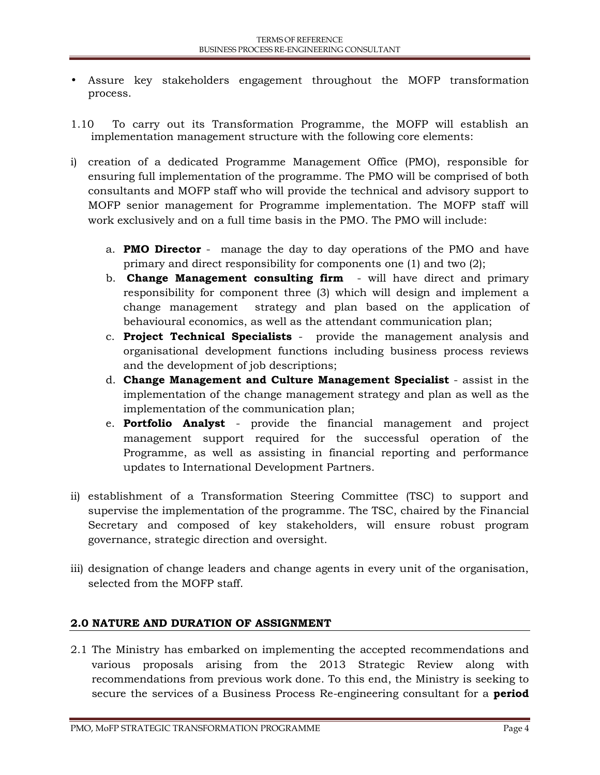- Assure key stakeholders engagement throughout the MOFP transformation process.
- 1.10 To carry out its Transformation Programme, the MOFP will establish an implementation management structure with the following core elements:
- i) creation of a dedicated Programme Management Office (PMO), responsible for ensuring full implementation of the programme. The PMO will be comprised of both consultants and MOFP staff who will provide the technical and advisory support to MOFP senior management for Programme implementation. The MOFP staff will work exclusively and on a full time basis in the PMO. The PMO will include:
	- a. **PMO Director** manage the day to day operations of the PMO and have primary and direct responsibility for components one (1) and two (2);
	- b. **Change Management consulting firm** will have direct and primary responsibility for component three (3) which will design and implement a change management strategy and plan based on the application of behavioural economics, as well as the attendant communication plan;
	- c. **Project Technical Specialists** provide the management analysis and organisational development functions including business process reviews and the development of job descriptions;
	- d. **Change Management and Culture Management Specialist** assist in the implementation of the change management strategy and plan as well as the implementation of the communication plan;
	- e. **Portfolio Analyst** provide the financial management and project management support required for the successful operation of the Programme, as well as assisting in financial reporting and performance updates to International Development Partners.
- ii) establishment of a Transformation Steering Committee (TSC) to support and supervise the implementation of the programme. The TSC, chaired by the Financial Secretary and composed of key stakeholders, will ensure robust program governance, strategic direction and oversight.
- iii) designation of change leaders and change agents in every unit of the organisation, selected from the MOFP staff.

# **2.0 NATURE AND DURATION OF ASSIGNMENT**

2.1 The Ministry has embarked on implementing the accepted recommendations and various proposals arising from the 2013 Strategic Review along with recommendations from previous work done. To this end, the Ministry is seeking to secure the services of a Business Process Re-engineering consultant for a **period**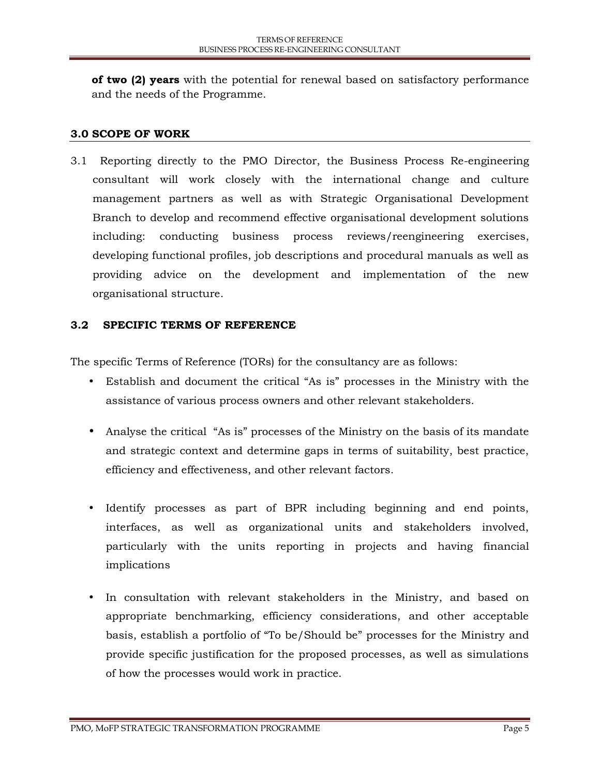**of two (2) years** with the potential for renewal based on satisfactory performance and the needs of the Programme.

# **3.0 SCOPE OF WORK**

3.1 Reporting directly to the PMO Director, the Business Process Re-engineering consultant will work closely with the international change and culture management partners as well as with Strategic Organisational Development Branch to develop and recommend effective organisational development solutions including: conducting business process reviews/reengineering exercises, developing functional profiles, job descriptions and procedural manuals as well as providing advice on the development and implementation of the new organisational structure.

# **3.2 SPECIFIC TERMS OF REFERENCE**

The specific Terms of Reference (TORs) for the consultancy are as follows:

- Establish and document the critical "As is" processes in the Ministry with the assistance of various process owners and other relevant stakeholders.
- Analyse the critical "As is" processes of the Ministry on the basis of its mandate and strategic context and determine gaps in terms of suitability, best practice, efficiency and effectiveness, and other relevant factors.
- Identify processes as part of BPR including beginning and end points, interfaces, as well as organizational units and stakeholders involved, particularly with the units reporting in projects and having financial implications
- In consultation with relevant stakeholders in the Ministry, and based on appropriate benchmarking, efficiency considerations, and other acceptable basis, establish a portfolio of "To be/Should be" processes for the Ministry and provide specific justification for the proposed processes, as well as simulations of how the processes would work in practice.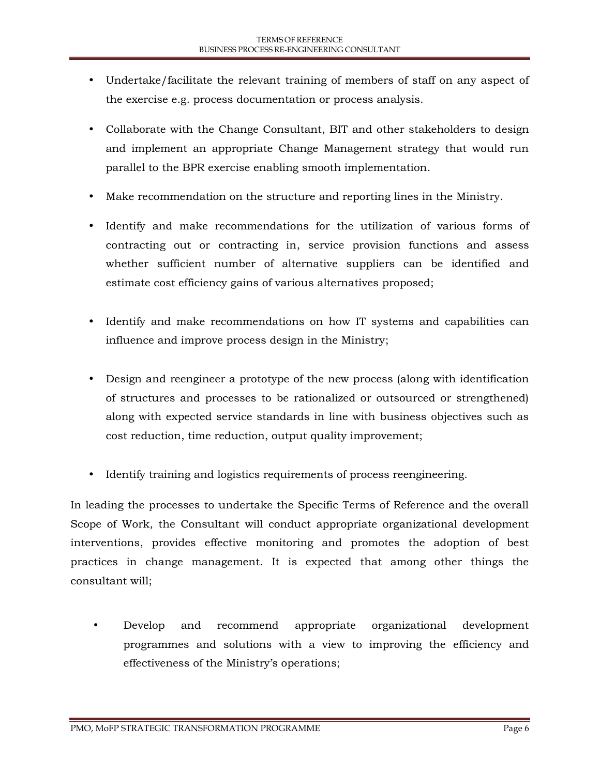- Undertake/facilitate the relevant training of members of staff on any aspect of the exercise e.g. process documentation or process analysis.
- Collaborate with the Change Consultant, BIT and other stakeholders to design and implement an appropriate Change Management strategy that would run parallel to the BPR exercise enabling smooth implementation.
- Make recommendation on the structure and reporting lines in the Ministry.
- Identify and make recommendations for the utilization of various forms of contracting out or contracting in, service provision functions and assess whether sufficient number of alternative suppliers can be identified and estimate cost efficiency gains of various alternatives proposed;
- Identify and make recommendations on how IT systems and capabilities can influence and improve process design in the Ministry;
- Design and reengineer a prototype of the new process (along with identification of structures and processes to be rationalized or outsourced or strengthened) along with expected service standards in line with business objectives such as cost reduction, time reduction, output quality improvement;
- Identify training and logistics requirements of process reengineering.

In leading the processes to undertake the Specific Terms of Reference and the overall Scope of Work, the Consultant will conduct appropriate organizational development interventions, provides effective monitoring and promotes the adoption of best practices in change management. It is expected that among other things the consultant will;

 Develop and recommend appropriate organizational development programmes and solutions with a view to improving the efficiency and effectiveness of the Ministry's operations;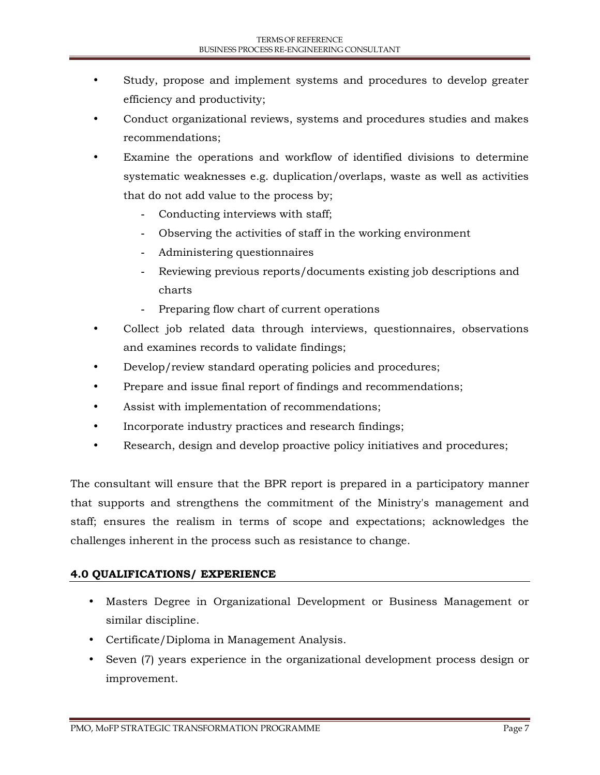- Study, propose and implement systems and procedures to develop greater efficiency and productivity;
- Conduct organizational reviews, systems and procedures studies and makes recommendations;
- Examine the operations and workflow of identified divisions to determine systematic weaknesses e.g. duplication/overlaps, waste as well as activities that do not add value to the process by;
	- **-** Conducting interviews with staff;
	- **-** Observing the activities of staff in the working environment
	- **-** Administering questionnaires
	- **-** Reviewing previous reports/documents existing job descriptions and charts
	- **-** Preparing flow chart of current operations
- Collect job related data through interviews, questionnaires, observations and examines records to validate findings;
- Develop/review standard operating policies and procedures;
- Prepare and issue final report of findings and recommendations;
- Assist with implementation of recommendations;
- Incorporate industry practices and research findings;
- Research, design and develop proactive policy initiatives and procedures;

The consultant will ensure that the BPR report is prepared in a participatory manner that supports and strengthens the commitment of the Ministry's management and staff; ensures the realism in terms of scope and expectations; acknowledges the challenges inherent in the process such as resistance to change.

# **4.0 QUALIFICATIONS/ EXPERIENCE**

- Masters Degree in Organizational Development or Business Management or similar discipline.
- Certificate/Diploma in Management Analysis.
- Seven (7) years experience in the organizational development process design or improvement.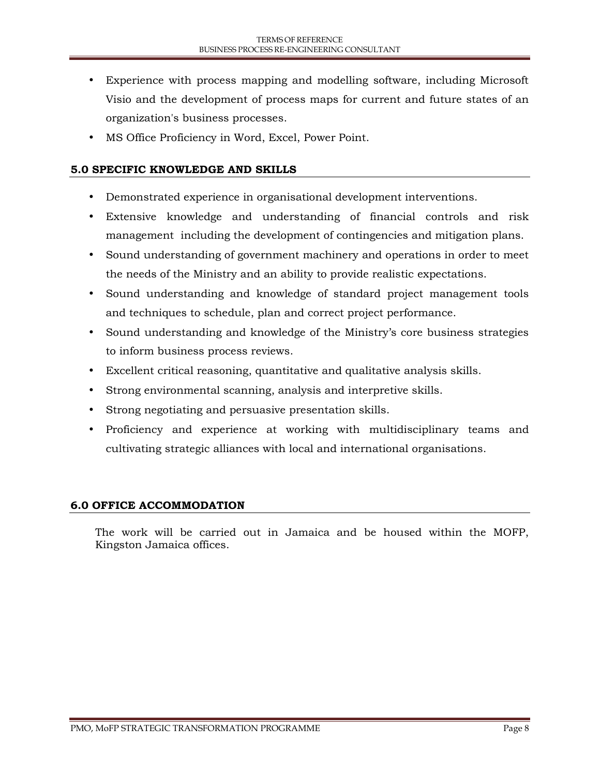- Experience with process mapping and modelling software, including Microsoft Visio and the development of process maps for current and future states of an organization's business processes.
- MS Office Proficiency in Word, Excel, Power Point.

### **5.0 SPECIFIC KNOWLEDGE AND SKILLS**

- Demonstrated experience in organisational development interventions.
- Extensive knowledge and understanding of financial controls and risk management including the development of contingencies and mitigation plans.
- Sound understanding of government machinery and operations in order to meet the needs of the Ministry and an ability to provide realistic expectations.
- Sound understanding and knowledge of standard project management tools and techniques to schedule, plan and correct project performance.
- Sound understanding and knowledge of the Ministry's core business strategies to inform business process reviews.
- Excellent critical reasoning, quantitative and qualitative analysis skills.
- Strong environmental scanning, analysis and interpretive skills.
- Strong negotiating and persuasive presentation skills.
- Proficiency and experience at working with multidisciplinary teams and cultivating strategic alliances with local and international organisations.

## **6.0 OFFICE ACCOMMODATION**

The work will be carried out in Jamaica and be housed within the MOFP, Kingston Jamaica offices.